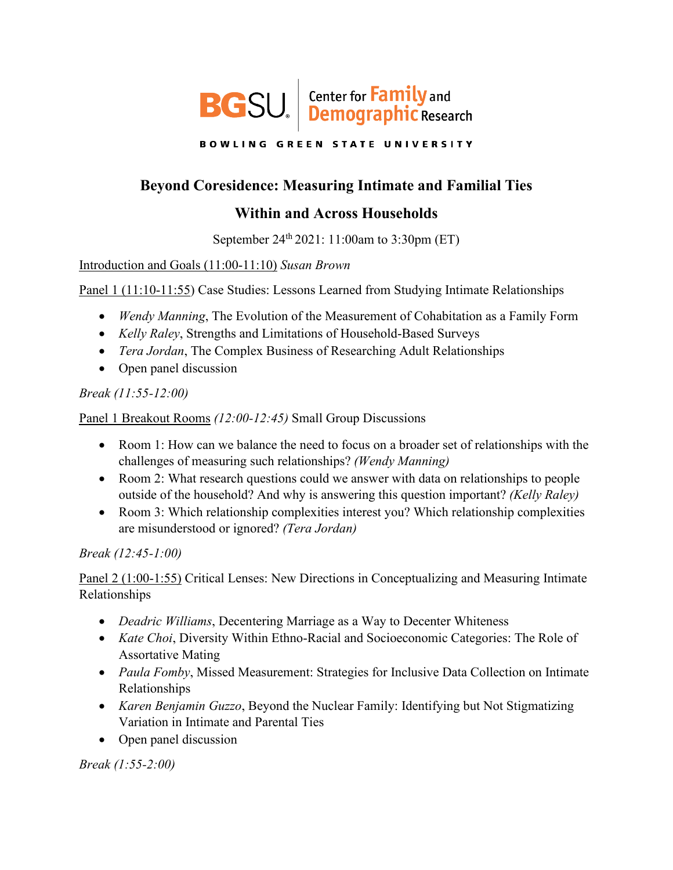

**BOWLING GREEN STATE UNIVERSITY** 

# **Beyond Coresidence: Measuring Intimate and Familial Ties**

## **Within and Across Households**

September 24<sup>th</sup> 2021: 11:00am to 3:30pm (ET)

#### Introduction and Goals (11:00-11:10) *Susan Brown*

Panel 1 (11:10-11:55) Case Studies: Lessons Learned from Studying Intimate Relationships

- *Wendy Manning*, The Evolution of the Measurement of Cohabitation as a Family Form
- *Kelly Raley*, Strengths and Limitations of Household-Based Surveys
- *Tera Jordan*, The Complex Business of Researching Adult Relationships
- Open panel discussion

## *Break (11:55-12:00)*

Panel 1 Breakout Rooms *(12:00-12:45)* Small Group Discussions

- Room 1: How can we balance the need to focus on a broader set of relationships with the challenges of measuring such relationships? *(Wendy Manning)*
- Room 2: What research questions could we answer with data on relationships to people outside of the household? And why is answering this question important? *(Kelly Raley)*
- Room 3: Which relationship complexities interest you? Which relationship complexities are misunderstood or ignored? *(Tera Jordan)*

*Break (12:45-1:00)*

Panel 2 (1:00-1:55) Critical Lenses: New Directions in Conceptualizing and Measuring Intimate Relationships

- *Deadric Williams*, Decentering Marriage as a Way to Decenter Whiteness
- *Kate Choi*, Diversity Within Ethno-Racial and Socioeconomic Categories: The Role of Assortative Mating
- *Paula Fomby*, Missed Measurement: Strategies for Inclusive Data Collection on Intimate Relationships
- *Karen Benjamin Guzzo*, Beyond the Nuclear Family: Identifying but Not Stigmatizing Variation in Intimate and Parental Ties
- Open panel discussion

*Break (1:55-2:00)*